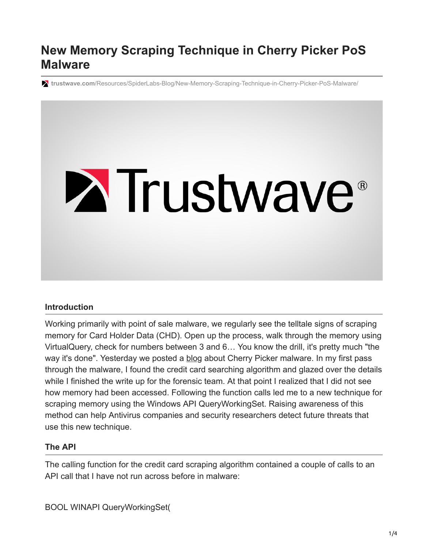# **New Memory Scraping Technique in Cherry Picker PoS Malware**

**trustwave.com**[/Resources/SpiderLabs-Blog/New-Memory-Scraping-Technique-in-Cherry-Picker-PoS-Malware/](https://www.trustwave.com/Resources/SpiderLabs-Blog/New-Memory-Scraping-Technique-in-Cherry-Picker-PoS-Malware/)

# **Extrustwave®**

### **Introduction**

Working primarily with point of sale malware, we regularly see the telltale signs of scraping memory for Card Holder Data (CHD). Open up the process, walk through the memory using VirtualQuery, check for numbers between 3 and 6… You know the drill, it's pretty much "the way it's done". Yesterday we posted a [blog](https://www.trustwave.com/Resources/SpiderLabs-Blog/Shining-the-Spotlight-on-Cherry-Picker-PoS-Malware/?page=1&year=0&month=0) about Cherry Picker malware. In my first pass through the malware, I found the credit card searching algorithm and glazed over the details while I finished the write up for the forensic team. At that point I realized that I did not see how memory had been accessed. Following the function calls led me to a new technique for scraping memory using the Windows API QueryWorkingSet. Raising awareness of this method can help Antivirus companies and security researchers detect future threats that use this new technique.

### **The API**

The calling function for the credit card scraping algorithm contained a couple of calls to an API call that I have not run across before in malware:

BOOL WINAPI QueryWorkingSet(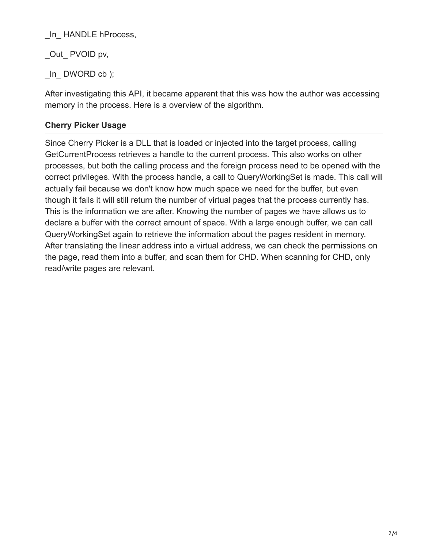\_In\_ HANDLE hProcess,

Out PVOID pv,

In DWORD cb );

After investigating this API, it became apparent that this was how the author was accessing memory in the process. Here is a overview of the algorithm.

## **Cherry Picker Usage**

Since Cherry Picker is a DLL that is loaded or injected into the target process, calling GetCurrentProcess retrieves a handle to the current process. This also works on other processes, but both the calling process and the foreign process need to be opened with the correct privileges. With the process handle, a call to QueryWorkingSet is made. This call will actually fail because we don't know how much space we need for the buffer, but even though it fails it will still return the number of virtual pages that the process currently has. This is the information we are after. Knowing the number of pages we have allows us to declare a buffer with the correct amount of space. With a large enough buffer, we can call QueryWorkingSet again to retrieve the information about the pages resident in memory. After translating the linear address into a virtual address, we can check the permissions on the page, read them into a buffer, and scan them for CHD. When scanning for CHD, only read/write pages are relevant.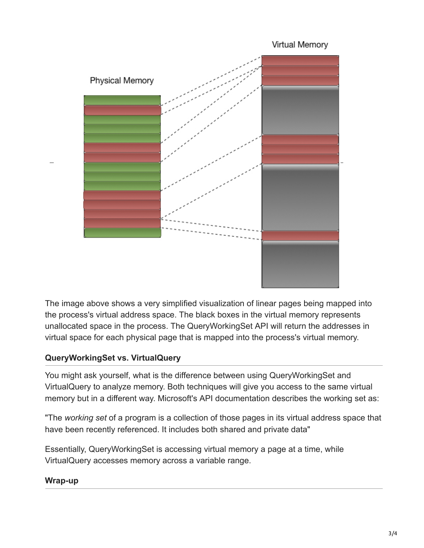

The image above shows a very simplified visualization of linear pages being mapped into the process's virtual address space. The black boxes in the virtual memory represents unallocated space in the process. The QueryWorkingSet API will return the addresses in virtual space for each physical page that is mapped into the process's virtual memory.

### **QueryWorkingSet vs. VirtualQuery**

You might ask yourself, what is the difference between using QueryWorkingSet and VirtualQuery to analyze memory. Both techniques will give you access to the same virtual memory but in a different way. Microsoft's API documentation describes the working set as:

"The *working set* of a program is a collection of those pages in its virtual address space that have been recently referenced. It includes both shared and private data"

Essentially, QueryWorkingSet is accessing virtual memory a page at a time, while VirtualQuery accesses memory across a variable range.

### **Wrap-up**